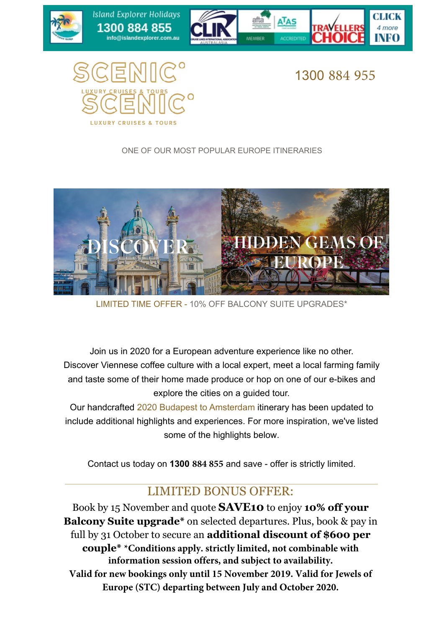

Island Explorer Holidays

1300 884 855

info@islandexplorer.com.au

1300 884 955

4 more

**ATAS** 

MEMBER

#### ONE OF OUR MOST POPULAR EUROPE ITINERARIES

Exclusive - Strictly Limited **AUSTRALIAN - Strictly Limited Inc.** 



LIMITED TIME OFFER - 10% OFF BALCONY SUITE UPGRADES\*

Join us in 2020 for a European adventure experience like no other. Discover Viennese coffee culture with a local expert, meet a local farming family and taste some of their home made produce or hop on one of our e-bikes and explore the cities on a guided tour.

Our handcrafted 2020 Budapest to Amsterdam itinerary has been updated to include additional highlights and experiences. For more inspiration, we've listed some of the highlights below.

Contact us today on **1300 884 855** and save - offer is strictly limited.

#### LIMITED BONUS OFFER:

Book by 15 November and quote **SAVE10** to enjoy **10% off your Balcony Suite upgrade\*** on selected departures. Plus, book & pay in full by 31 October to secure an **additional discount of \$600 per couple\* \*Conditions apply. strictly limited, not combinable with information session offers, and subject to availability. Valid for new bookings only until 15 November 2019. Valid for Jewels of Europe (STC) departing between July and October 2020.**